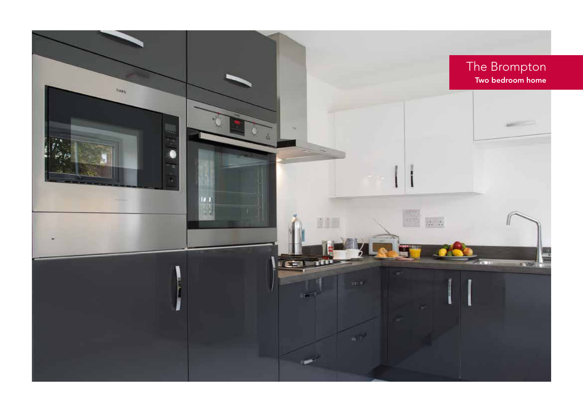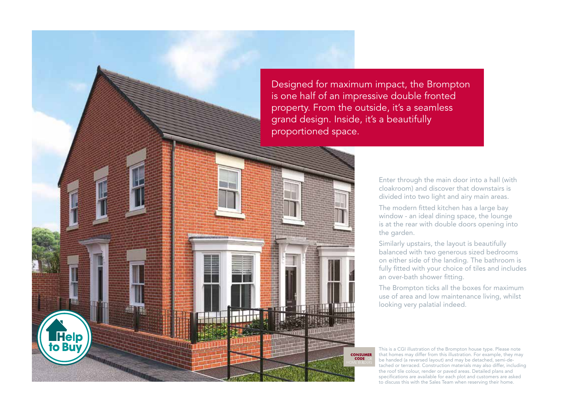Designed for maximum impact, the Brompton is one half of an impressive double fronted property. From the outside, it's a seamless grand design. Inside, it's a beautifully proportioned space.

> **CONSUMER CODE**

**Help to Buy** 

Enter through the main door into a hall (with cloakroom) and discover that downstairs is divided into two light and airy main areas.

The modern fitted kitchen has a large bay window - an ideal dining space, the lounge is at the rear with double doors opening into the garden.

Similarly upstairs, the layout is beautifully balanced with two generous sized bedrooms on either side of the landing. The bathroom is fully fitted with your choice of tiles and includes an over-bath shower fitting.

The Brompton ticks all the boxes for maximum use of area and low maintenance living, whilst looking very palatial indeed.

This is a CGI illustration of the Brompton house type. Please note that homes may differ from this illustration. For example, they may be handed (a reversed layout) and may be detached, semi-detached or terraced. Construction materials may also differ, including the roof tile colour, render or paved areas. Detailed plans and specifications are available for each plot and customers are asked to discuss this with the Sales Team when reserving their home.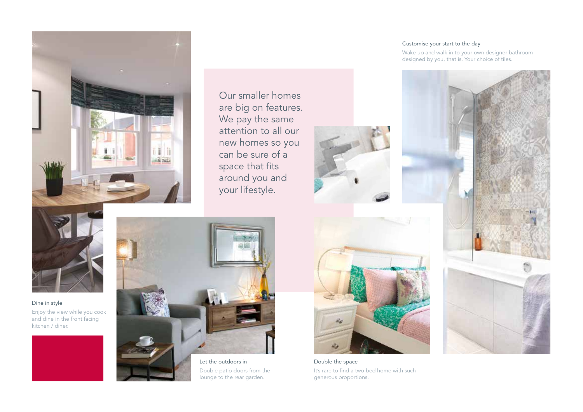

Our smaller homes are big on features. We pay the same attention to all our new homes so you can be sure of a space that fits around you and your lifestyle.



Dine in style Enjoy the view while you cook and dine in the front facing kitchen / diner.





Double patio doors from the lounge to the rear garden.

## Customise your start to the day

Wake up and walk in to your own designer bathroom designed by you, that is. Your choice of tiles.



Double the space It's rare to find a two bed home with such generous proportions.